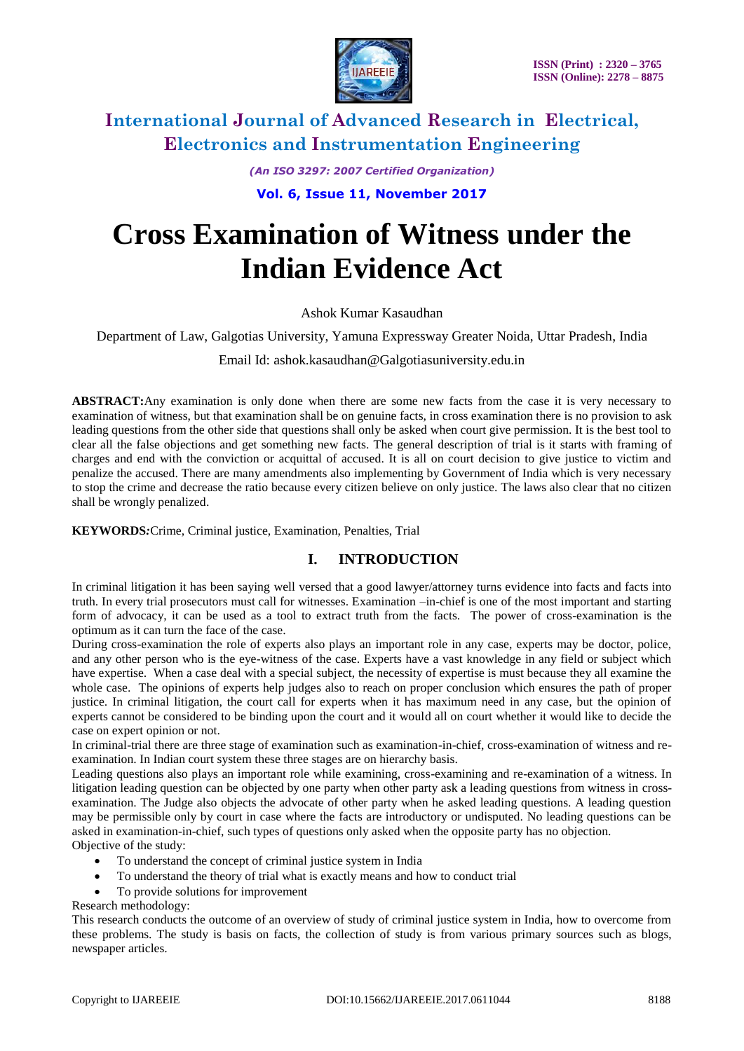

*(An ISO 3297: 2007 Certified Organization)*

**Vol. 6, Issue 11, November 2017**

# **Cross Examination of Witness under the Indian Evidence Act**

Ashok Kumar Kasaudhan

Department of Law, Galgotias University, Yamuna Expressway Greater Noida, Uttar Pradesh, India

Email Id: ashok.kasaudhan@Galgotiasuniversity.edu.in

**ABSTRACT:**Any examination is only done when there are some new facts from the case it is very necessary to examination of witness, but that examination shall be on genuine facts, in cross examination there is no provision to ask leading questions from the other side that questions shall only be asked when court give permission. It is the best tool to clear all the false objections and get something new facts. The general description of trial is it starts with framing of charges and end with the conviction or acquittal of accused. It is all on court decision to give justice to victim and penalize the accused. There are many amendments also implementing by Government of India which is very necessary to stop the crime and decrease the ratio because every citizen believe on only justice. The laws also clear that no citizen shall be wrongly penalized.

**KEYWORDS***:*Crime, Criminal justice, Examination, Penalties, Trial

### **I. INTRODUCTION**

In criminal litigation it has been saying well versed that a good lawyer/attorney turns evidence into facts and facts into truth. In every trial prosecutors must call for witnesses. Examination –in-chief is one of the most important and starting form of advocacy, it can be used as a tool to extract truth from the facts. The power of cross-examination is the optimum as it can turn the face of the case.

During cross-examination the role of experts also plays an important role in any case, experts may be doctor, police, and any other person who is the eye-witness of the case. Experts have a vast knowledge in any field or subject which have expertise. When a case deal with a special subject, the necessity of expertise is must because they all examine the whole case. The opinions of experts help judges also to reach on proper conclusion which ensures the path of proper justice. In criminal litigation, the court call for experts when it has maximum need in any case, but the opinion of experts cannot be considered to be binding upon the court and it would all on court whether it would like to decide the case on expert opinion or not.

In criminal-trial there are three stage of examination such as examination-in-chief, cross-examination of witness and reexamination. In Indian court system these three stages are on hierarchy basis.

Leading questions also plays an important role while examining, cross-examining and re-examination of a witness. In litigation leading question can be objected by one party when other party ask a leading questions from witness in crossexamination. The Judge also objects the advocate of other party when he asked leading questions. A leading question may be permissible only by court in case where the facts are introductory or undisputed. No leading questions can be asked in examination-in-chief, such types of questions only asked when the opposite party has no objection. Objective of the study:

- To understand the concept of criminal justice system in India
- To understand the theory of trial what is exactly means and how to conduct trial
- To provide solutions for improvement

Research methodology:

This research conducts the outcome of an overview of study of criminal justice system in India, how to overcome from these problems. The study is basis on facts, the collection of study is from various primary sources such as blogs, newspaper articles.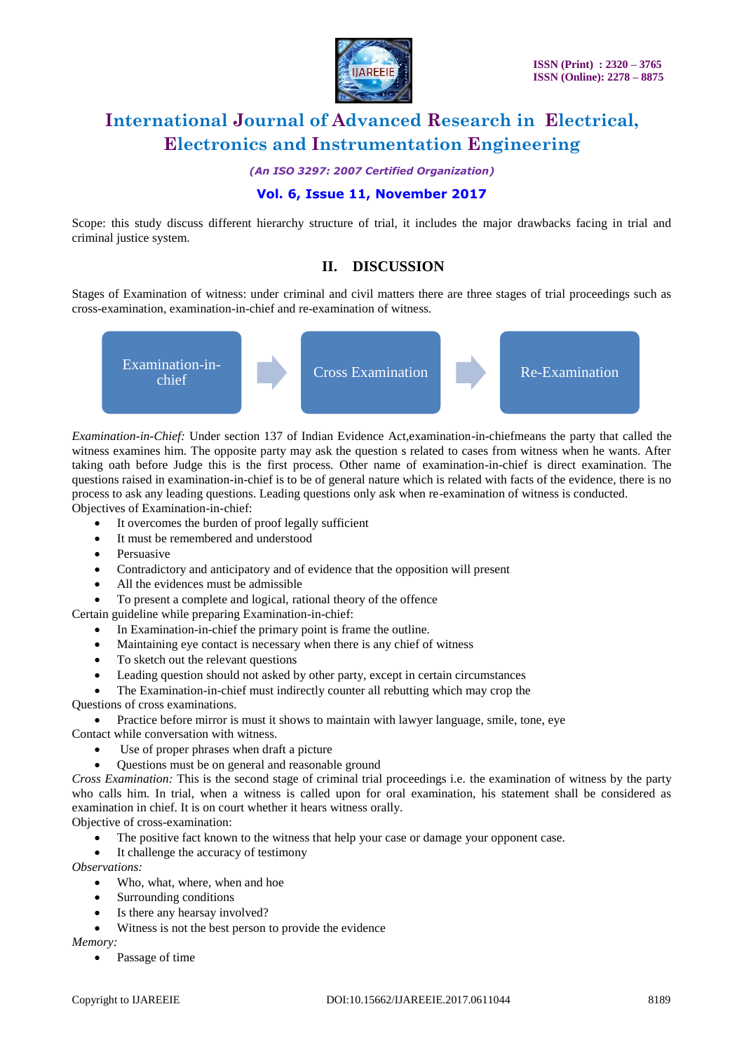

*(An ISO 3297: 2007 Certified Organization)*

### **Vol. 6, Issue 11, November 2017**

Scope: this study discuss different hierarchy structure of trial, it includes the major drawbacks facing in trial and criminal justice system.

### **II. DISCUSSION**

Stages of Examination of witness: under criminal and civil matters there are three stages of trial proceedings such as cross-examination, examination-in-chief and re-examination of witness.



*Examination-in-Chief:* Under section 137 of Indian Evidence Act,examination-in-chiefmeans the party that called the witness examines him. The opposite party may ask the question s related to cases from witness when he wants. After taking oath before Judge this is the first process. Other name of examination-in-chief is direct examination. The questions raised in examination-in-chief is to be of general nature which is related with facts of the evidence, there is no process to ask any leading questions. Leading questions only ask when re-examination of witness is conducted. Objectives of Examination-in-chief:

- It overcomes the burden of proof legally sufficient
- It must be remembered and understood
- Persuasive
- Contradictory and anticipatory and of evidence that the opposition will present
- All the evidences must be admissible
- To present a complete and logical, rational theory of the offence

Certain guideline while preparing Examination-in-chief:

- In Examination-in-chief the primary point is frame the outline.
- Maintaining eye contact is necessary when there is any chief of witness
- To sketch out the relevant questions
- Leading question should not asked by other party, except in certain circumstances
- The Examination-in-chief must indirectly counter all rebutting which may crop the

Questions of cross examinations.

Practice before mirror is must it shows to maintain with lawyer language, smile, tone, eye

Contact while conversation with witness.

- Use of proper phrases when draft a picture
- Questions must be on general and reasonable ground

*Cross Examination:* This is the second stage of criminal trial proceedings i.e. the examination of witness by the party who calls him. In trial, when a witness is called upon for oral examination, his statement shall be considered as examination in chief. It is on court whether it hears witness orally.

Objective of cross-examination:

- The positive fact known to the witness that help your case or damage your opponent case.
- It challenge the accuracy of testimony

*Observations:*

- Who, what, where, when and hoe
- Surrounding conditions
- Is there any hearsay involved?
- Witness is not the best person to provide the evidence

*Memory:*

• Passage of time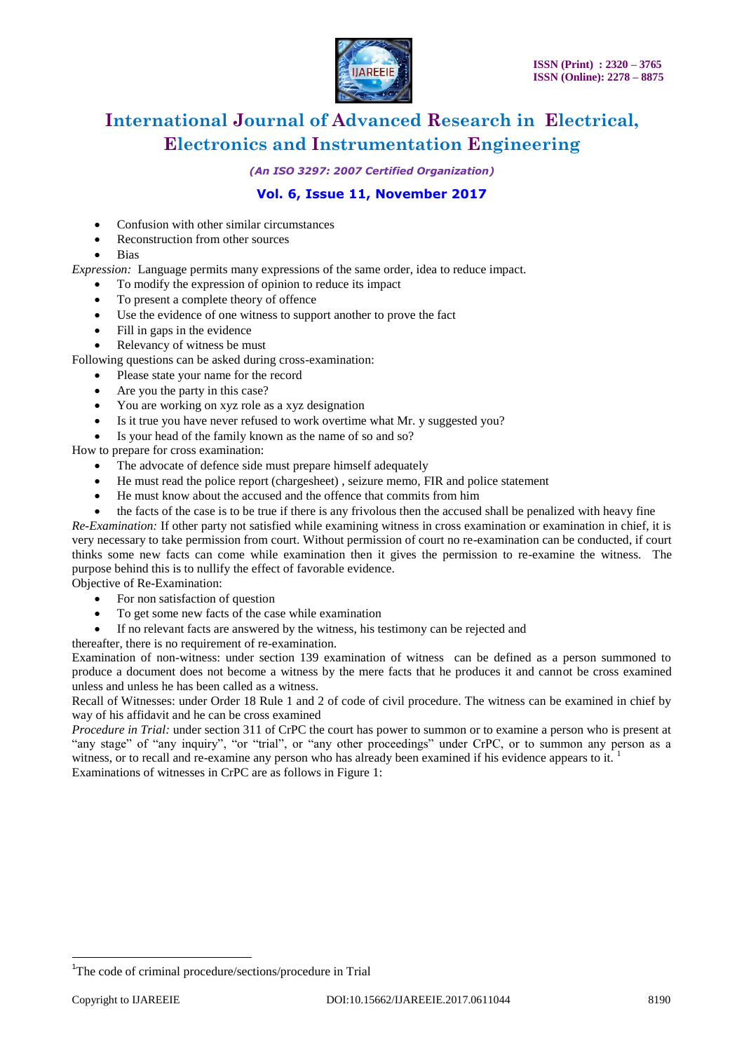

*(An ISO 3297: 2007 Certified Organization)*

### **Vol. 6, Issue 11, November 2017**

- Confusion with other similar circumstances
- Reconstruction from other sources
- Bias

*Expression:* Language permits many expressions of the same order, idea to reduce impact.

- To modify the expression of opinion to reduce its impact
- To present a complete theory of offence
- Use the evidence of one witness to support another to prove the fact
- Fill in gaps in the evidence
- Relevancy of witness be must

Following questions can be asked during cross-examination:

- Please state your name for the record
- Are you the party in this case?
- You are working on xyz role as a xyz designation
- Is it true you have never refused to work overtime what Mr. y suggested you?
- Is your head of the family known as the name of so and so?

How to prepare for cross examination:

- The advocate of defence side must prepare himself adequately
- He must read the police report (chargesheet) , seizure memo, FIR and police statement
- He must know about the accused and the offence that commits from him
- the facts of the case is to be true if there is any frivolous then the accused shall be penalized with heavy fine

*Re-Examination:* If other party not satisfied while examining witness in cross examination or examination in chief, it is very necessary to take permission from court. Without permission of court no re-examination can be conducted, if court thinks some new facts can come while examination then it gives the permission to re-examine the witness. The purpose behind this is to nullify the effect of favorable evidence.

Objective of Re-Examination:

- For non satisfaction of question
- To get some new facts of the case while examination
- If no relevant facts are answered by the witness, his testimony can be rejected and
- thereafter, there is no requirement of re-examination.

Examination of non-witness: under section 139 examination of witness can be defined as a person summoned to produce a document does not become a witness by the mere facts that he produces it and cannot be cross examined unless and unless he has been called as a witness.

Recall of Witnesses: under Order 18 Rule 1 and 2 of code of civil procedure. The witness can be examined in chief by way of his affidavit and he can be cross examined

*Procedure in Trial:* under section 311 of CrPC the court has power to summon or to examine a person who is present at "any stage" of "any inquiry", "or "trial", or "any other proceedings" under CrPC, or to summon any person as a witness, or to recall and re-examine any person who has already been examined if his evidence appears to it. Examinations of witnesses in CrPC are as follows in Figure 1:

 $\overline{a}$ 

<sup>&</sup>lt;sup>1</sup>The code of criminal procedure/sections/procedure in Trial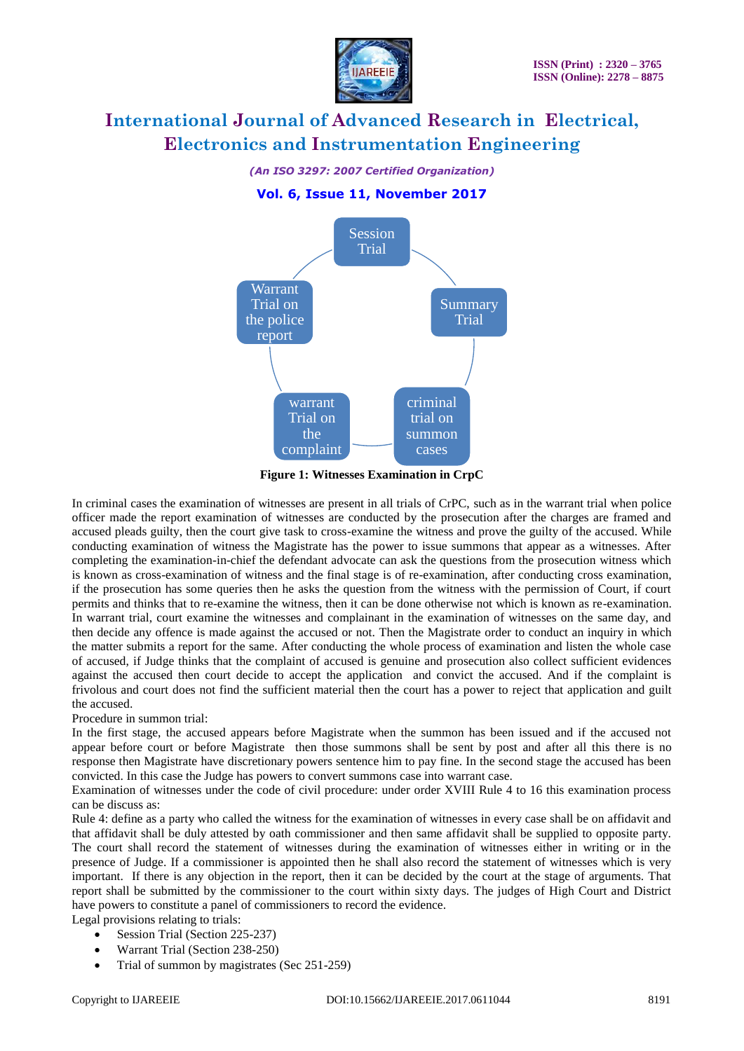

*(An ISO 3297: 2007 Certified Organization)*

#### **Vol. 6, Issue 11, November 2017**



**Figure 1: Witnesses Examination in CrpC**

In criminal cases the examination of witnesses are present in all trials of CrPC, such as in the warrant trial when police officer made the report examination of witnesses are conducted by the prosecution after the charges are framed and accused pleads guilty, then the court give task to cross-examine the witness and prove the guilty of the accused. While conducting examination of witness the Magistrate has the power to issue summons that appear as a witnesses. After completing the examination-in-chief the defendant advocate can ask the questions from the prosecution witness which is known as cross-examination of witness and the final stage is of re-examination, after conducting cross examination, if the prosecution has some queries then he asks the question from the witness with the permission of Court, if court permits and thinks that to re-examine the witness, then it can be done otherwise not which is known as re-examination. In warrant trial, court examine the witnesses and complainant in the examination of witnesses on the same day, and then decide any offence is made against the accused or not. Then the Magistrate order to conduct an inquiry in which the matter submits a report for the same. After conducting the whole process of examination and listen the whole case of accused, if Judge thinks that the complaint of accused is genuine and prosecution also collect sufficient evidences against the accused then court decide to accept the application and convict the accused. And if the complaint is frivolous and court does not find the sufficient material then the court has a power to reject that application and guilt the accused.

Procedure in summon trial:

In the first stage, the accused appears before Magistrate when the summon has been issued and if the accused not appear before court or before Magistrate then those summons shall be sent by post and after all this there is no response then Magistrate have discretionary powers sentence him to pay fine. In the second stage the accused has been convicted. In this case the Judge has powers to convert summons case into warrant case.

Examination of witnesses under the code of civil procedure: under order XVIII Rule 4 to 16 this examination process can be discuss as:

Rule 4: define as a party who called the witness for the examination of witnesses in every case shall be on affidavit and that affidavit shall be duly attested by oath commissioner and then same affidavit shall be supplied to opposite party. The court shall record the statement of witnesses during the examination of witnesses either in writing or in the presence of Judge. If a commissioner is appointed then he shall also record the statement of witnesses which is very important. If there is any objection in the report, then it can be decided by the court at the stage of arguments. That report shall be submitted by the commissioner to the court within sixty days. The judges of High Court and District have powers to constitute a panel of commissioners to record the evidence.

Legal provisions relating to trials:

- Session Trial (Section 225-237) Warrant Trial (Section 238-250)
- 
- Trial of summon by magistrates (Sec 251-259)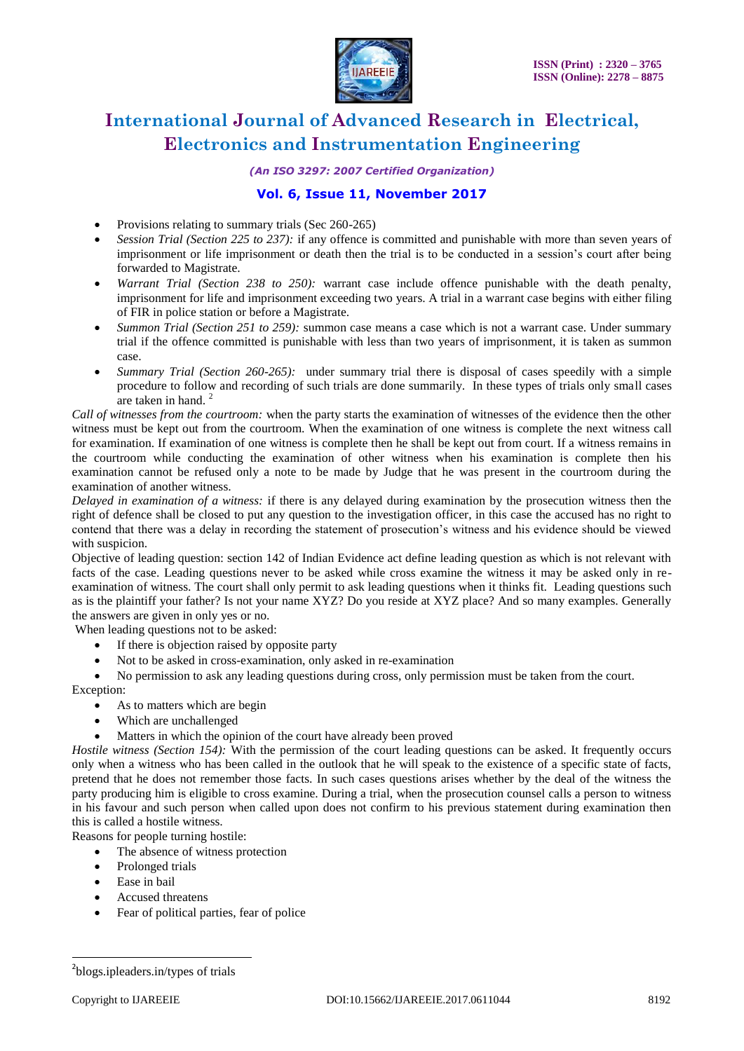

*(An ISO 3297: 2007 Certified Organization)*

### **Vol. 6, Issue 11, November 2017**

- Provisions relating to summary trials (Sec 260-265)
- *Session Trial (Section 225 to 237):* if any offence is committed and punishable with more than seven years of imprisonment or life imprisonment or death then the trial is to be conducted in a session's court after being forwarded to Magistrate.
- *Warrant Trial (Section 238 to 250):* warrant case include offence punishable with the death penalty, imprisonment for life and imprisonment exceeding two years. A trial in a warrant case begins with either filing of FIR in police station or before a Magistrate.
- *Summon Trial (Section 251 to 259):* summon case means a case which is not a warrant case. Under summary trial if the offence committed is punishable with less than two years of imprisonment, it is taken as summon case.
- *Summary Trial (Section 260-265):* under summary trial there is disposal of cases speedily with a simple procedure to follow and recording of such trials are done summarily. In these types of trials only small cases are taken in hand. $<sup>2</sup>$ </sup>

*Call of witnesses from the courtroom:* when the party starts the examination of witnesses of the evidence then the other witness must be kept out from the courtroom. When the examination of one witness is complete the next witness call for examination. If examination of one witness is complete then he shall be kept out from court. If a witness remains in the courtroom while conducting the examination of other witness when his examination is complete then his examination cannot be refused only a note to be made by Judge that he was present in the courtroom during the examination of another witness.

*Delayed in examination of a witness:* if there is any delayed during examination by the prosecution witness then the right of defence shall be closed to put any question to the investigation officer, in this case the accused has no right to contend that there was a delay in recording the statement of prosecution's witness and his evidence should be viewed with suspicion.

Objective of leading question: section 142 of Indian Evidence act define leading question as which is not relevant with facts of the case. Leading questions never to be asked while cross examine the witness it may be asked only in reexamination of witness. The court shall only permit to ask leading questions when it thinks fit. Leading questions such as is the plaintiff your father? Is not your name XYZ? Do you reside at XYZ place? And so many examples. Generally the answers are given in only yes or no.

When leading questions not to be asked:

- If there is objection raised by opposite party
- Not to be asked in cross-examination, only asked in re-examination

No permission to ask any leading questions during cross, only permission must be taken from the court.

Exception:

- As to matters which are begin
- Which are unchallenged
- Matters in which the opinion of the court have already been proved

*Hostile witness (Section 154):* With the permission of the court leading questions can be asked. It frequently occurs only when a witness who has been called in the outlook that he will speak to the existence of a specific state of facts, pretend that he does not remember those facts. In such cases questions arises whether by the deal of the witness the party producing him is eligible to cross examine. During a trial, when the prosecution counsel calls a person to witness in his favour and such person when called upon does not confirm to his previous statement during examination then this is called a hostile witness.

- Reasons for people turning hostile:
	- The absence of witness protection
	- Prolonged trials
	- Ease in bail
	- Accused threatens
	- Fear of political parties, fear of police

 $\overline{a}$ 

<sup>&</sup>lt;sup>2</sup>blogs.ipleaders.in/types of trials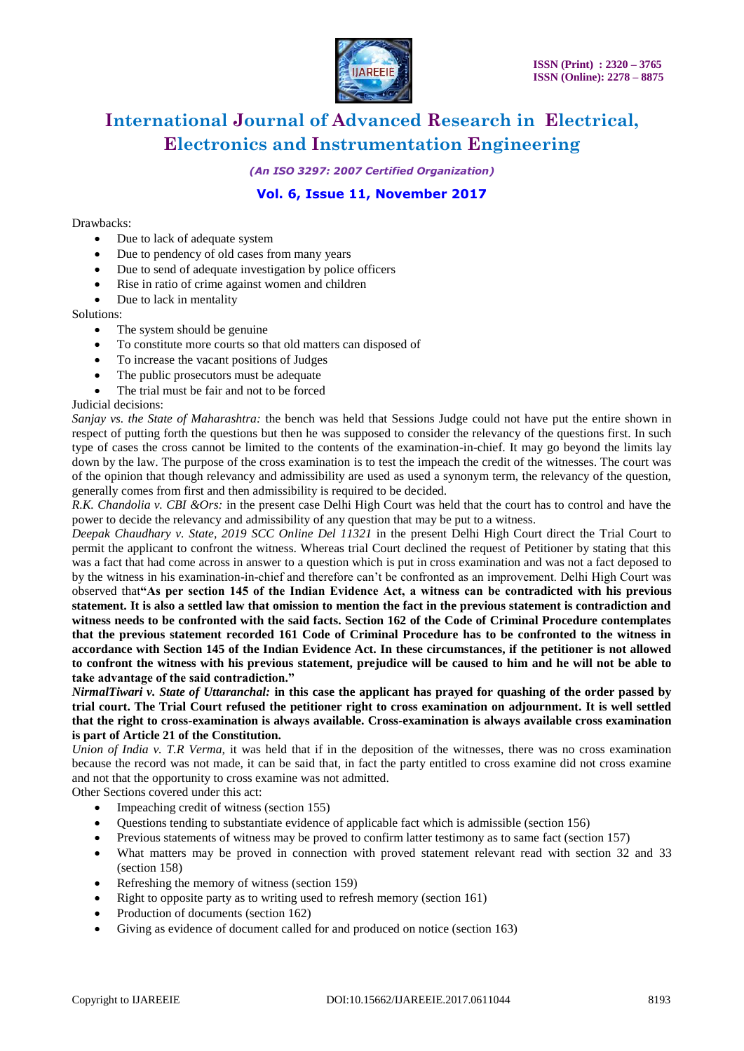

*(An ISO 3297: 2007 Certified Organization)*

### **Vol. 6, Issue 11, November 2017**

#### Drawbacks:

- Due to lack of adequate system
- Due to pendency of old cases from many years
- Due to send of adequate investigation by police officers
- Rise in ratio of crime against women and children
- Due to lack in mentality

#### Solutions:

- The system should be genuine
- To constitute more courts so that old matters can disposed of
- To increase the vacant positions of Judges
- The public prosecutors must be adequate
- The trial must be fair and not to be forced

Judicial decisions:

*Sanjay vs. the State of Maharashtra:* the bench was held that Sessions Judge could not have put the entire shown in respect of putting forth the questions but then he was supposed to consider the relevancy of the questions first. In such type of cases the cross cannot be limited to the contents of the examination-in-chief. It may go beyond the limits lay down by the law. The purpose of the cross examination is to test the impeach the credit of the witnesses. The court was of the opinion that though relevancy and admissibility are used as used a synonym term, the relevancy of the question, generally comes from first and then admissibility is required to be decided.

*R.K. Chandolia v. CBI &Ors:* in the present case Delhi High Court was held that the court has to control and have the power to decide the relevancy and admissibility of any question that may be put to a witness.

*Deepak Chaudhary v. State, 2019 SCC Online Del 11321* in the present Delhi High Court direct the Trial Court to permit the applicant to confront the witness. Whereas trial Court declined the request of Petitioner by stating that this was a fact that had come across in answer to a question which is put in cross examination and was not a fact deposed to by the witness in his examination-in-chief and therefore can't be confronted as an improvement. Delhi High Court was observed that**"As per section 145 of the Indian Evidence Act, a witness can be contradicted with his previous statement. It is also a settled law that omission to mention the fact in the previous statement is contradiction and witness needs to be confronted with the said facts. Section 162 of the Code of Criminal Procedure contemplates that the previous statement recorded 161 Code of Criminal Procedure has to be confronted to the witness in accordance with Section 145 of the Indian Evidence Act. In these circumstances, if the petitioner is not allowed to confront the witness with his previous statement, prejudice will be caused to him and he will not be able to take advantage of the said contradiction."**

*NirmalTiwari v. State of Uttaranchal:* **in this case the applicant has prayed for quashing of the order passed by trial court. The Trial Court refused the petitioner right to cross examination on adjournment. It is well settled that the right to cross-examination is always available. Cross-examination is always available cross examination is part of Article 21 of the Constitution.**

*Union of India v. T.R Verma,* it was held that if in the deposition of the witnesses, there was no cross examination because the record was not made, it can be said that, in fact the party entitled to cross examine did not cross examine and not that the opportunity to cross examine was not admitted.

Other Sections covered under this act:

- Impeaching credit of witness (section 155)
- Questions tending to substantiate evidence of applicable fact which is admissible (section 156)
- Previous statements of witness may be proved to confirm latter testimony as to same fact (section 157)
- What matters may be proved in connection with proved statement relevant read with section 32 and 33 (section 158)
- Refreshing the memory of witness (section 159)
- Right to opposite party as to writing used to refresh memory (section 161)
- Production of documents (section 162)
- Giving as evidence of document called for and produced on notice (section 163)